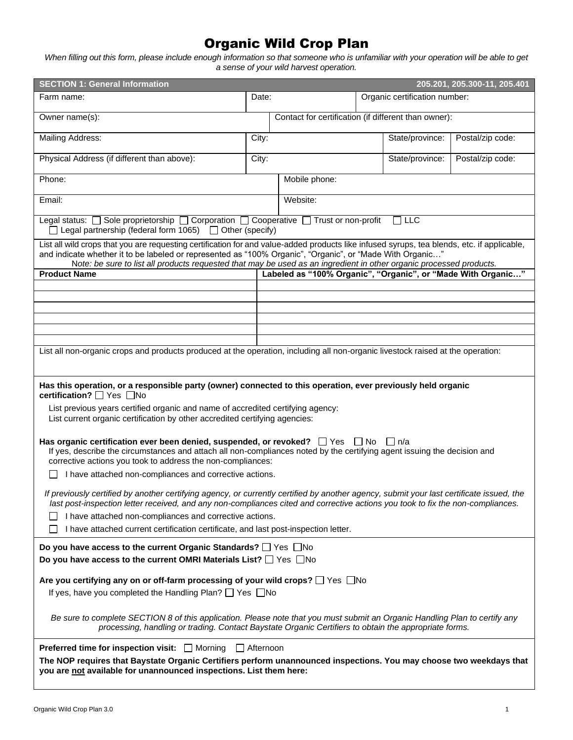## Organic Wild Crop Plan

*When filling out this form, please include enough information so that someone who is unfamiliar with your operation will be able to get a sense of your wild harvest operation.*

| <b>SECTION 1: General Information</b>                                                                                                                                                                                                                                                                                                                                           |       |                                                      |                               | 205.201, 205.300-11, 205.401                                 |
|---------------------------------------------------------------------------------------------------------------------------------------------------------------------------------------------------------------------------------------------------------------------------------------------------------------------------------------------------------------------------------|-------|------------------------------------------------------|-------------------------------|--------------------------------------------------------------|
| Farm name:                                                                                                                                                                                                                                                                                                                                                                      | Date: |                                                      | Organic certification number: |                                                              |
| Owner name(s):                                                                                                                                                                                                                                                                                                                                                                  |       | Contact for certification (if different than owner): |                               |                                                              |
| Mailing Address:                                                                                                                                                                                                                                                                                                                                                                | City: |                                                      | State/province:               | Postal/zip code:                                             |
| Physical Address (if different than above):                                                                                                                                                                                                                                                                                                                                     | City: |                                                      | State/province:               | Postal/zip code:                                             |
| Phone:                                                                                                                                                                                                                                                                                                                                                                          |       | Mobile phone:                                        |                               |                                                              |
| Email:                                                                                                                                                                                                                                                                                                                                                                          |       | Website:                                             |                               |                                                              |
| Legal status: □ Sole proprietorship □ Corporation □ Cooperative □ Trust or non-profit<br>$\Box$ Legal partnership (federal form 1065) $\Box$ Other (specify)                                                                                                                                                                                                                    |       |                                                      | $\Box$ LLC                    |                                                              |
| List all wild crops that you are requesting certification for and value-added products like infused syrups, tea blends, etc. if applicable,<br>and indicate whether it to be labeled or represented as "100% Organic", "Organic", or "Made With Organic"<br>Note: be sure to list all products requested that may be used as an ingredient in other organic processed products. |       |                                                      |                               |                                                              |
| <b>Product Name</b>                                                                                                                                                                                                                                                                                                                                                             |       |                                                      |                               | Labeled as "100% Organic", "Organic", or "Made With Organic" |
|                                                                                                                                                                                                                                                                                                                                                                                 |       |                                                      |                               |                                                              |
|                                                                                                                                                                                                                                                                                                                                                                                 |       |                                                      |                               |                                                              |
|                                                                                                                                                                                                                                                                                                                                                                                 |       |                                                      |                               |                                                              |
|                                                                                                                                                                                                                                                                                                                                                                                 |       |                                                      |                               |                                                              |
| List all non-organic crops and products produced at the operation, including all non-organic livestock raised at the operation:                                                                                                                                                                                                                                                 |       |                                                      |                               |                                                              |
|                                                                                                                                                                                                                                                                                                                                                                                 |       |                                                      |                               |                                                              |
| Has this operation, or a responsible party (owner) connected to this operation, ever previously held organic<br>certification? <sup>1</sup> Yes <b>No</b>                                                                                                                                                                                                                       |       |                                                      |                               |                                                              |
| List previous years certified organic and name of accredited certifying agency:<br>List current organic certification by other accredited certifying agencies:                                                                                                                                                                                                                  |       |                                                      |                               |                                                              |
| Has organic certification ever been denied, suspended, or revoked? $\Box$ Yes $\Box$ No $\Box$ n/a<br>If yes, describe the circumstances and attach all non-compliances noted by the certifying agent issuing the decision and<br>corrective actions you took to address the non-compliances:                                                                                   |       |                                                      |                               |                                                              |
| I have attached non-compliances and corrective actions.                                                                                                                                                                                                                                                                                                                         |       |                                                      |                               |                                                              |
| If previously certified by another certifying agency, or currently certified by another agency, submit your last certificate issued, the<br>last post-inspection letter received, and any non-compliances cited and corrective actions you took to fix the non-compliances.                                                                                                     |       |                                                      |                               |                                                              |
| I have attached non-compliances and corrective actions.                                                                                                                                                                                                                                                                                                                         |       |                                                      |                               |                                                              |
| I have attached current certification certificate, and last post-inspection letter.                                                                                                                                                                                                                                                                                             |       |                                                      |                               |                                                              |
| Do you have access to the current Organic Standards? □ Yes □No                                                                                                                                                                                                                                                                                                                  |       |                                                      |                               |                                                              |
| Do you have access to the current OMRI Materials List? $\Box$ Yes $\Box$ No                                                                                                                                                                                                                                                                                                     |       |                                                      |                               |                                                              |
| Are you certifying any on or off-farm processing of your wild crops? $\Box$ Yes $\Box$ No                                                                                                                                                                                                                                                                                       |       |                                                      |                               |                                                              |
| If yes, have you completed the Handling Plan? $\Box$ Yes $\Box$ No                                                                                                                                                                                                                                                                                                              |       |                                                      |                               |                                                              |
| Be sure to complete SECTION 8 of this application. Please note that you must submit an Organic Handling Plan to certify any<br>processing, handling or trading. Contact Baystate Organic Certifiers to obtain the appropriate forms.                                                                                                                                            |       |                                                      |                               |                                                              |
| <b>Preferred time for inspection visit:</b> $\Box$ Morning $\Box$ Afternoon                                                                                                                                                                                                                                                                                                     |       |                                                      |                               |                                                              |
| The NOP requires that Baystate Organic Certifiers perform unannounced inspections. You may choose two weekdays that<br>you are not available for unannounced inspections. List them here:                                                                                                                                                                                       |       |                                                      |                               |                                                              |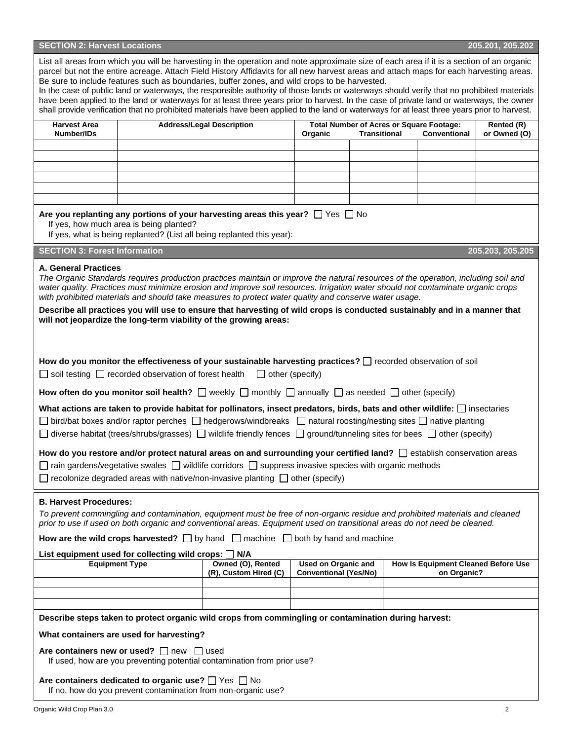| <b>SECTION 2: Harvest Locations</b> | 205.201, 205.202 |
|-------------------------------------|------------------|

|                                      |                                                                                                                                | List all areas from which you will be harvesting in the operation and note approximate size of each area if it is a section of an organic<br>parcel but not the entire acreage. Attach Field History Affidavits for all new harvest areas and attach maps for each harvesting areas.<br>Be sure to include features such as boundaries, buffer zones, and wild crops to be harvested.<br>In the case of public land or waterways, the responsible authority of those lands or waterways should verify that no prohibited materials<br>have been applied to the land or waterways for at least three years prior to harvest. In the case of private land or waterways, the owner<br>shall provide verification that no prohibited materials have been applied to the land or waterways for at least three years prior to harvest.                                                                                                                                                                                                                              |                                                            |                     |                                                                 |                            |
|--------------------------------------|--------------------------------------------------------------------------------------------------------------------------------|---------------------------------------------------------------------------------------------------------------------------------------------------------------------------------------------------------------------------------------------------------------------------------------------------------------------------------------------------------------------------------------------------------------------------------------------------------------------------------------------------------------------------------------------------------------------------------------------------------------------------------------------------------------------------------------------------------------------------------------------------------------------------------------------------------------------------------------------------------------------------------------------------------------------------------------------------------------------------------------------------------------------------------------------------------------|------------------------------------------------------------|---------------------|-----------------------------------------------------------------|----------------------------|
| <b>Harvest Area</b><br>Number/IDs    |                                                                                                                                | <b>Address/Legal Description</b>                                                                                                                                                                                                                                                                                                                                                                                                                                                                                                                                                                                                                                                                                                                                                                                                                                                                                                                                                                                                                              | Organic                                                    | <b>Transitional</b> | <b>Total Number of Acres or Square Footage:</b><br>Conventional | Rented (R)<br>or Owned (O) |
|                                      |                                                                                                                                |                                                                                                                                                                                                                                                                                                                                                                                                                                                                                                                                                                                                                                                                                                                                                                                                                                                                                                                                                                                                                                                               |                                                            |                     |                                                                 |                            |
|                                      |                                                                                                                                |                                                                                                                                                                                                                                                                                                                                                                                                                                                                                                                                                                                                                                                                                                                                                                                                                                                                                                                                                                                                                                                               |                                                            |                     |                                                                 |                            |
|                                      |                                                                                                                                |                                                                                                                                                                                                                                                                                                                                                                                                                                                                                                                                                                                                                                                                                                                                                                                                                                                                                                                                                                                                                                                               |                                                            |                     |                                                                 |                            |
|                                      | If yes, how much area is being planted?                                                                                        | Are you replanting any portions of your harvesting areas this year? $\Box$ Yes $\Box$ No<br>If yes, what is being replanted? (List all being replanted this year):                                                                                                                                                                                                                                                                                                                                                                                                                                                                                                                                                                                                                                                                                                                                                                                                                                                                                            |                                                            |                     |                                                                 |                            |
| <b>SECTION 3: Forest Information</b> |                                                                                                                                |                                                                                                                                                                                                                                                                                                                                                                                                                                                                                                                                                                                                                                                                                                                                                                                                                                                                                                                                                                                                                                                               |                                                            |                     |                                                                 | 205.203, 205.205           |
| <b>A. General Practices</b>          |                                                                                                                                | The Organic Standards requires production practices maintain or improve the natural resources of the operation, including soil and<br>water quality. Practices must minimize erosion and improve soil resources. Irrigation water should not contaminate organic crops<br>with prohibited materials and should take measures to protect water quality and conserve water usage.<br>Describe all practices you will use to ensure that harvesting of wild crops is conducted sustainably and in a manner that<br>will not jeopardize the long-term viability of the growing areas:                                                                                                                                                                                                                                                                                                                                                                                                                                                                             |                                                            |                     |                                                                 |                            |
|                                      | $\Box$ soil testing $\Box$ recorded observation of forest health                                                               | How do you monitor the effectiveness of your sustainable harvesting practices? [ ] recorded observation of soil<br>$\Box$ other (specify)<br>How often do you monitor soil health? $\Box$ weekly $\Box$ monthly $\Box$ annually $\Box$ as needed $\Box$ other (specify)<br>What actions are taken to provide habitat for pollinators, insect predators, birds, bats and other wildlife: $\Box$ insectaries<br>$\Box$ bird/bat boxes and/or raptor perches $\Box$ hedgerows/windbreaks $\Box$ natural roosting/nesting sites $\Box$ native planting<br>$\Box$ diverse habitat (trees/shrubs/grasses) $\Box$ wildlife friendly fences $\Box$ ground/tunneling sites for bees $\Box$ other (specify)<br>How do you restore and/or protect natural areas on and surrounding your certified land?<br><br>$\Box$ establish conservation areas<br>$\Box$ rain gardens/vegetative swales $\Box$ wildlife corridors $\Box$ suppress invasive species with organic methods<br>$\Box$ recolonize degraded areas with native/non-invasive planting $\Box$ other (specify) |                                                            |                     |                                                                 |                            |
| <b>B. Harvest Procedures:</b>        |                                                                                                                                | To prevent commingling and contamination, equipment must be free of non-organic residue and prohibited materials and cleaned<br>prior to use if used on both organic and conventional areas. Equipment used on transitional areas do not need be cleaned.<br>How are the wild crops harvested? $\Box$ by hand $\Box$ machine $\Box$ both by hand and machine                                                                                                                                                                                                                                                                                                                                                                                                                                                                                                                                                                                                                                                                                                  |                                                            |                     |                                                                 |                            |
| <b>Equipment Type</b>                | List equipment used for collecting wild crops: $\Box$ N/A                                                                      | Owned (O), Rented<br>(R), Custom Hired (C)                                                                                                                                                                                                                                                                                                                                                                                                                                                                                                                                                                                                                                                                                                                                                                                                                                                                                                                                                                                                                    | <b>Used on Organic and</b><br><b>Conventional (Yes/No)</b> |                     | <b>How Is Equipment Cleaned Before Use</b><br>on Organic?       |                            |
|                                      |                                                                                                                                |                                                                                                                                                                                                                                                                                                                                                                                                                                                                                                                                                                                                                                                                                                                                                                                                                                                                                                                                                                                                                                                               |                                                            |                     |                                                                 |                            |
|                                      |                                                                                                                                |                                                                                                                                                                                                                                                                                                                                                                                                                                                                                                                                                                                                                                                                                                                                                                                                                                                                                                                                                                                                                                                               |                                                            |                     |                                                                 |                            |
|                                      |                                                                                                                                | Describe steps taken to protect organic wild crops from commingling or contamination during harvest:                                                                                                                                                                                                                                                                                                                                                                                                                                                                                                                                                                                                                                                                                                                                                                                                                                                                                                                                                          |                                                            |                     |                                                                 |                            |
|                                      | What containers are used for harvesting?                                                                                       |                                                                                                                                                                                                                                                                                                                                                                                                                                                                                                                                                                                                                                                                                                                                                                                                                                                                                                                                                                                                                                                               |                                                            |                     |                                                                 |                            |
|                                      | Are containers new or used? $\Box$ new $\Box$ used                                                                             | If used, how are you preventing potential contamination from prior use?                                                                                                                                                                                                                                                                                                                                                                                                                                                                                                                                                                                                                                                                                                                                                                                                                                                                                                                                                                                       |                                                            |                     |                                                                 |                            |
|                                      | Are containers dedicated to organic use? $\Box$ Yes $\Box$ No<br>If no, how do you prevent contamination from non-organic use? |                                                                                                                                                                                                                                                                                                                                                                                                                                                                                                                                                                                                                                                                                                                                                                                                                                                                                                                                                                                                                                                               |                                                            |                     |                                                                 |                            |
| Organic Wild Crop Plan 3.0           |                                                                                                                                |                                                                                                                                                                                                                                                                                                                                                                                                                                                                                                                                                                                                                                                                                                                                                                                                                                                                                                                                                                                                                                                               |                                                            |                     |                                                                 | 2                          |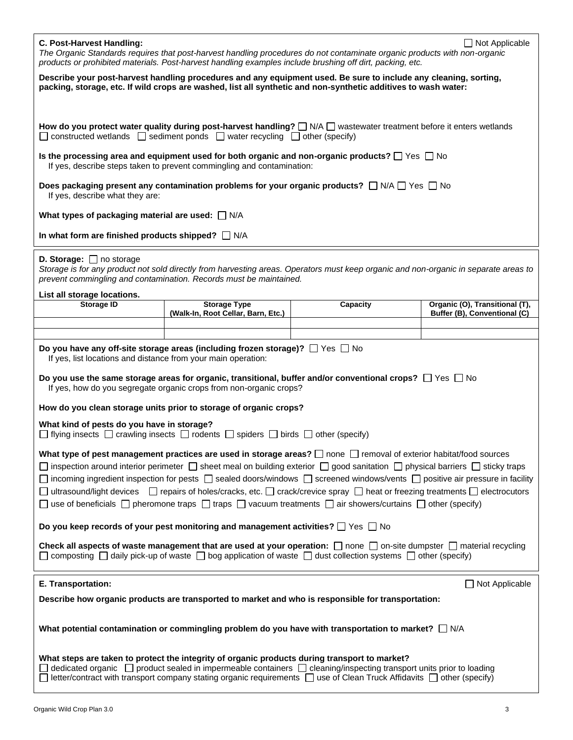| C. Post-Harvest Handling:                                                                                                                                |                                                                                                                 | The Organic Standards requires that post-harvest handling procedures do not contaminate organic products with non-organic<br>products or prohibited materials. Post-harvest handling examples include brushing off dirt, packing, etc.                                                                                                                                                                                                                                                                                                                                                                                                                                | $\Box$ Not Applicable          |
|----------------------------------------------------------------------------------------------------------------------------------------------------------|-----------------------------------------------------------------------------------------------------------------|-----------------------------------------------------------------------------------------------------------------------------------------------------------------------------------------------------------------------------------------------------------------------------------------------------------------------------------------------------------------------------------------------------------------------------------------------------------------------------------------------------------------------------------------------------------------------------------------------------------------------------------------------------------------------|--------------------------------|
|                                                                                                                                                          |                                                                                                                 | Describe your post-harvest handling procedures and any equipment used. Be sure to include any cleaning, sorting,<br>packing, storage, etc. If wild crops are washed, list all synthetic and non-synthetic additives to wash water:                                                                                                                                                                                                                                                                                                                                                                                                                                    |                                |
|                                                                                                                                                          | $\Box$ constructed wetlands $\Box$ sediment ponds $\Box$ water recycling $\Box$ other (specify)                 | How do you protect water quality during post-harvest handling? $\Box$ N/A $\Box$ wastewater treatment before it enters wetlands                                                                                                                                                                                                                                                                                                                                                                                                                                                                                                                                       |                                |
|                                                                                                                                                          | If yes, describe steps taken to prevent commingling and contamination:                                          | Is the processing area and equipment used for both organic and non-organic products? $\Box$ Yes $\Box$ No                                                                                                                                                                                                                                                                                                                                                                                                                                                                                                                                                             |                                |
| If yes, describe what they are:                                                                                                                          |                                                                                                                 | Does packaging present any contamination problems for your organic products? $\Box$ N/A $\Box$ Yes $\Box$ No                                                                                                                                                                                                                                                                                                                                                                                                                                                                                                                                                          |                                |
| What types of packaging material are used: $\Box$ N/A                                                                                                    |                                                                                                                 |                                                                                                                                                                                                                                                                                                                                                                                                                                                                                                                                                                                                                                                                       |                                |
| In what form are finished products shipped? $\Box$ N/A                                                                                                   |                                                                                                                 |                                                                                                                                                                                                                                                                                                                                                                                                                                                                                                                                                                                                                                                                       |                                |
| <b>D. Storage:</b> $\Box$ no storage<br>prevent commingling and contamination. Records must be maintained.                                               |                                                                                                                 | Storage is for any product not sold directly from harvesting areas. Operators must keep organic and non-organic in separate areas to                                                                                                                                                                                                                                                                                                                                                                                                                                                                                                                                  |                                |
| List all storage locations.<br>Storage ID                                                                                                                | <b>Storage Type</b>                                                                                             | Capacity                                                                                                                                                                                                                                                                                                                                                                                                                                                                                                                                                                                                                                                              | Organic (O), Transitional (T), |
|                                                                                                                                                          | (Walk-In, Root Cellar, Barn, Etc.)                                                                              |                                                                                                                                                                                                                                                                                                                                                                                                                                                                                                                                                                                                                                                                       | Buffer (B), Conventional (C)   |
|                                                                                                                                                          |                                                                                                                 |                                                                                                                                                                                                                                                                                                                                                                                                                                                                                                                                                                                                                                                                       |                                |
| Do you have any off-site storage areas (including frozen storage)? $\Box$ Yes $\Box$ No<br>If yes, list locations and distance from your main operation: |                                                                                                                 |                                                                                                                                                                                                                                                                                                                                                                                                                                                                                                                                                                                                                                                                       |                                |
|                                                                                                                                                          | If yes, how do you segregate organic crops from non-organic crops?                                              | Do you use the same storage areas for organic, transitional, buffer and/or conventional crops? $\Box$ Yes $\Box$ No                                                                                                                                                                                                                                                                                                                                                                                                                                                                                                                                                   |                                |
| How do you clean storage units prior to storage of organic crops?                                                                                        |                                                                                                                 |                                                                                                                                                                                                                                                                                                                                                                                                                                                                                                                                                                                                                                                                       |                                |
| What kind of pests do you have in storage?                                                                                                               | $\Box$ flying insects $\Box$ crawling insects $\Box$ rodents $\Box$ spiders $\Box$ birds $\Box$ other (specify) |                                                                                                                                                                                                                                                                                                                                                                                                                                                                                                                                                                                                                                                                       |                                |
|                                                                                                                                                          |                                                                                                                 | What type of pest management practices are used in storage areas? $\Box$ none $\Box$ removal of exterior habitat/food sources<br>□ inspection around interior perimeter □ sheet meal on building exterior □ good sanitation □ physical barriers □ sticky traps<br>$\Box$ incoming ingredient inspection for pests $\Box$ sealed doors/windows $\Box$ screened windows/vents $\Box$ positive air pressure in facility<br>□ ultrasound/light devices □ repairs of holes/cracks, etc. □ crack/crevice spray □ heat or freezing treatments □ electrocutors<br>□ use of beneficials □ pheromone traps □ traps □ vacuum treatments □ air showers/curtains □ other (specify) |                                |
| Do you keep records of your pest monitoring and management activities? $\square$ Yes $\square$ No                                                        |                                                                                                                 |                                                                                                                                                                                                                                                                                                                                                                                                                                                                                                                                                                                                                                                                       |                                |
|                                                                                                                                                          |                                                                                                                 | Check all aspects of waste management that are used at your operation: $\Box$ none $\Box$ on-site dumpster $\Box$ material recycling<br>$\Box$ composting $\Box$ daily pick-up of waste $\Box$ bog application of waste $\Box$ dust collection systems $\Box$ other (specify)                                                                                                                                                                                                                                                                                                                                                                                         |                                |
| E. Transportation:                                                                                                                                       |                                                                                                                 |                                                                                                                                                                                                                                                                                                                                                                                                                                                                                                                                                                                                                                                                       | $\Box$ Not Applicable          |
|                                                                                                                                                          |                                                                                                                 | Describe how organic products are transported to market and who is responsible for transportation:                                                                                                                                                                                                                                                                                                                                                                                                                                                                                                                                                                    |                                |
|                                                                                                                                                          |                                                                                                                 | What potential contamination or commingling problem do you have with transportation to market? $\Box$ N/A                                                                                                                                                                                                                                                                                                                                                                                                                                                                                                                                                             |                                |
| What steps are taken to protect the integrity of organic products during transport to market?                                                            |                                                                                                                 | letter/contract with transport company stating organic requirements □ use of Clean Truck Affidavits □ other (specify)                                                                                                                                                                                                                                                                                                                                                                                                                                                                                                                                                 |                                |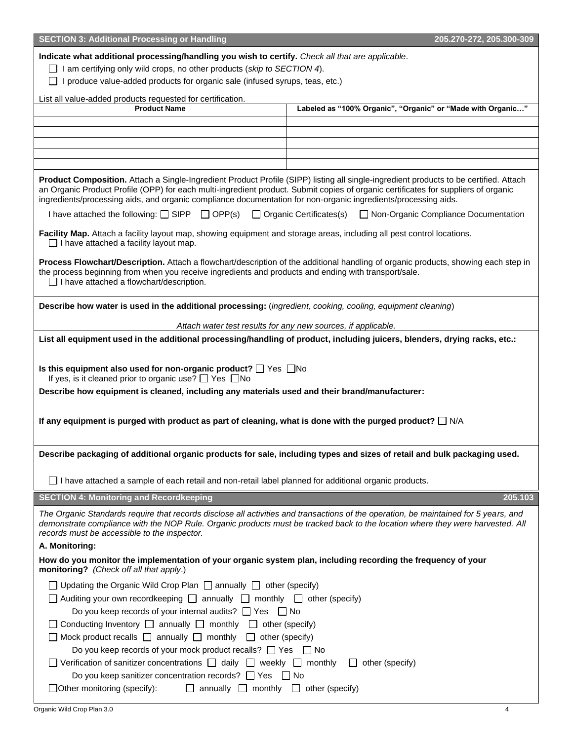| <b>SECTION 3: Additional Processing or Handling</b>                                                                                                                                                                                                                                                                                                                                           | 205.270-272, 205.300-309                                      |
|-----------------------------------------------------------------------------------------------------------------------------------------------------------------------------------------------------------------------------------------------------------------------------------------------------------------------------------------------------------------------------------------------|---------------------------------------------------------------|
| Indicate what additional processing/handling you wish to certify. Check all that are applicable.<br>$\Box$ I am certifying only wild crops, no other products (skip to SECTION 4).<br>I produce value-added products for organic sale (infused syrups, teas, etc.)                                                                                                                            |                                                               |
| List all value-added products requested for certification.                                                                                                                                                                                                                                                                                                                                    |                                                               |
| <b>Product Name</b>                                                                                                                                                                                                                                                                                                                                                                           | Labeled as "100% Organic", "Organic" or "Made with Organic"   |
|                                                                                                                                                                                                                                                                                                                                                                                               |                                                               |
|                                                                                                                                                                                                                                                                                                                                                                                               |                                                               |
|                                                                                                                                                                                                                                                                                                                                                                                               |                                                               |
|                                                                                                                                                                                                                                                                                                                                                                                               |                                                               |
| Product Composition. Attach a Single-Ingredient Product Profile (SIPP) listing all single-ingredient products to be certified. Attach<br>an Organic Product Profile (OPP) for each multi-ingredient product. Submit copies of organic certificates for suppliers of organic<br>ingredients/processing aids, and organic compliance documentation for non-organic ingredients/processing aids. |                                                               |
| I have attached the following: $\Box$ SIPP $\Box$ OPP(s) $\Box$ Organic Certificates(s)                                                                                                                                                                                                                                                                                                       | □ Non-Organic Compliance Documentation                        |
| Facility Map. Attach a facility layout map, showing equipment and storage areas, including all pest control locations.<br>$\Box$ I have attached a facility layout map.                                                                                                                                                                                                                       |                                                               |
| Process Flowchart/Description. Attach a flowchart/description of the additional handling of organic products, showing each step in<br>the process beginning from when you receive ingredients and products and ending with transport/sale.<br>$\Box$ I have attached a flowchart/description.                                                                                                 |                                                               |
| Describe how water is used in the additional processing: (ingredient, cooking, cooling, equipment cleaning)                                                                                                                                                                                                                                                                                   |                                                               |
|                                                                                                                                                                                                                                                                                                                                                                                               | Attach water test results for any new sources, if applicable. |
| List all equipment used in the additional processing/handling of product, including juicers, blenders, drying racks, etc.:                                                                                                                                                                                                                                                                    |                                                               |
| Is this equipment also used for non-organic product? $\Box$ Yes $\Box$ No<br>If yes, is it cleaned prior to organic use? $\Box$ Yes $\Box$ No<br>Describe how equipment is cleaned, including any materials used and their brand/manufacturer:                                                                                                                                                |                                                               |
|                                                                                                                                                                                                                                                                                                                                                                                               |                                                               |
| If any equipment is purged with product as part of cleaning, what is done with the purged product? $\square$ N/A                                                                                                                                                                                                                                                                              |                                                               |
| Describe packaging of additional organic products for sale, including types and sizes of retail and bulk packaging used.                                                                                                                                                                                                                                                                      |                                                               |
| $\Box$ I have attached a sample of each retail and non-retail label planned for additional organic products.                                                                                                                                                                                                                                                                                  |                                                               |
| <b>SECTION 4: Monitoring and Recordkeeping</b>                                                                                                                                                                                                                                                                                                                                                | 205.103                                                       |
| The Organic Standards require that records disclose all activities and transactions of the operation, be maintained for 5 years, and<br>demonstrate compliance with the NOP Rule. Organic products must be tracked back to the location where they were harvested. All<br>records must be accessible to the inspector.                                                                        |                                                               |
| A. Monitoring:                                                                                                                                                                                                                                                                                                                                                                                |                                                               |
| How do you monitor the implementation of your organic system plan, including recording the frequency of your<br>monitoring? (Check off all that apply.)                                                                                                                                                                                                                                       |                                                               |
| $\Box$ Updating the Organic Wild Crop Plan $\Box$ annually $\Box$ other (specify)                                                                                                                                                                                                                                                                                                             |                                                               |
| $\Box$ Auditing your own recordkeeping $\Box$ annually $\Box$ monthly $\Box$ other (specify)                                                                                                                                                                                                                                                                                                  |                                                               |
| Do you keep records of your internal audits? $\Box$ Yes $\Box$ No                                                                                                                                                                                                                                                                                                                             |                                                               |
| $\Box$ Conducting Inventory $\Box$ annually $\Box$ monthly $\Box$ other (specify)                                                                                                                                                                                                                                                                                                             |                                                               |
| $\Box$ Mock product recalls $\Box$ annually $\Box$ monthly $\Box$ other (specify)                                                                                                                                                                                                                                                                                                             |                                                               |
| Do you keep records of your mock product recalls? $\Box$ Yes $\Box$ No                                                                                                                                                                                                                                                                                                                        |                                                               |
| $\Box$ Verification of sanitizer concentrations $\Box$ daily $\Box$ weekly $\Box$ monthly                                                                                                                                                                                                                                                                                                     | other (specify)<br>$\perp$                                    |
| Do you keep sanitizer concentration records? $\Box$ Yes $\Box$ No                                                                                                                                                                                                                                                                                                                             |                                                               |
| $\Box$ Other monitoring (specify):<br>$\Box$ annually $\Box$ monthly $\Box$ other (specify)                                                                                                                                                                                                                                                                                                   |                                                               |
|                                                                                                                                                                                                                                                                                                                                                                                               |                                                               |